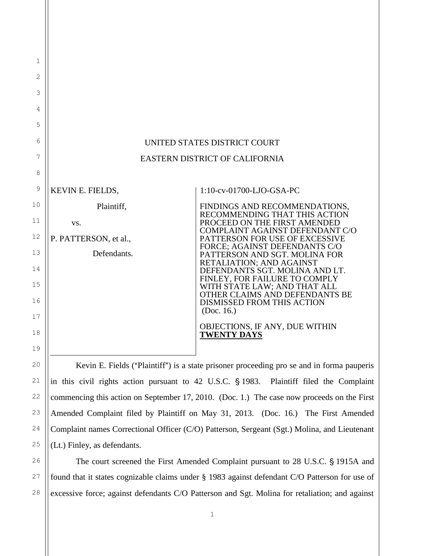| 1  |                                |                                                                   |                                                                |
|----|--------------------------------|-------------------------------------------------------------------|----------------------------------------------------------------|
| 2  |                                |                                                                   |                                                                |
| 3  |                                |                                                                   |                                                                |
| 4  |                                |                                                                   |                                                                |
| 5  |                                |                                                                   |                                                                |
| 6  | UNITED STATES DISTRICT COURT   |                                                                   |                                                                |
| 7  | EASTERN DISTRICT OF CALIFORNIA |                                                                   |                                                                |
| 8  |                                |                                                                   |                                                                |
| 9  | KEVIN E. FIELDS,               | 1:10-cv-01700-LJO-GSA-PC                                          |                                                                |
| 10 | Plaintiff,                     | FINDINGS AND RECOMMENDATIONS,                                     |                                                                |
| 11 | VS.                            | RECOMMENDING THAT THIS ACTION<br>PROCEED ON THE FIRST AMENDED     |                                                                |
| 12 | P. PATTERSON, et al.,          | COMPLAINT AGAINST DEFENDANT C/O<br>PATTERSON FOR USE OF EXCESSIVE |                                                                |
| 13 | Defendants.                    |                                                                   | FORCE; AGAINST DEFENDANTS C/O<br>PATTERSON AND SGT. MOLINA FOR |
| 14 |                                | RETALIATION; AND AGAINST<br>DEFENDANTS SGT. MOLINA AND LT.        |                                                                |
| 15 |                                | FINLEY, FOR FAILURE TO COMPLY<br>WITH STATE LAW; AND THAT ALL     |                                                                |
| 16 |                                | OTHER CLAIMS AND DEFENDANTS BE<br>DISMISSED FROM THIS ACTION      |                                                                |
| 17 |                                | (Doc. 16.)                                                        |                                                                |
| 18 |                                | OBJECTIONS, IF ANY, DUE WITHIN<br><b>TWENTY DAYS</b>              |                                                                |
| 19 |                                |                                                                   |                                                                |

Kevin E. Fields ("Plaintiff") is a state prisoner proceeding pro se and in forma pauperis in this civil rights action pursuant to  $42$  U.S.C. § 1983. Plaintiff filed the Complaint commencing this action on September 17, 2010. (Doc. 1.) The case now proceeds on the First Amended Complaint filed by Plaintiff on May 31, 2013. (Doc. 16.) The First Amended Complaint names Correctional Officer (C/O) Patterson, Sergeant (Sgt.) Molina, and Lieutenant (Lt.) Finley, as defendants.

20

21

22

23

24

25

26

27

28

The court screened the First Amended Complaint pursuant to 28 U.S.C. § 1915A and found that it states cognizable claims under § 1983 against defendant C/O Patterson for use of excessive force; against defendants C/O Patterson and Sgt. Molina for retaliation; and against